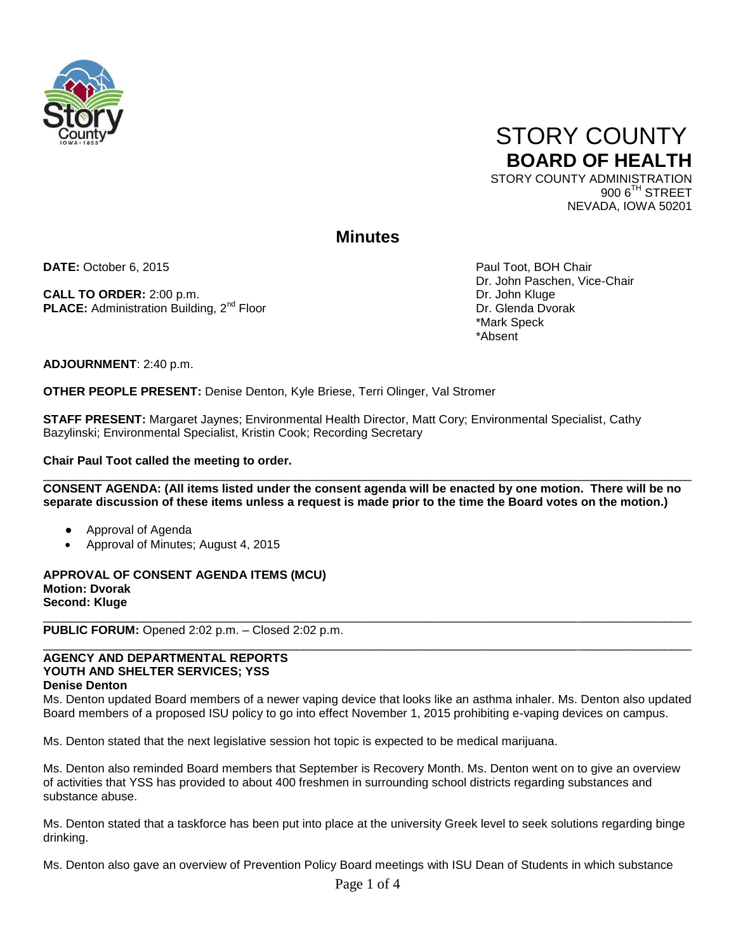



900 6<sup>TH</sup> STREET NEVADA, IOWA 50201

# **Minutes**

**DATE:** October 6, 2015 **Paul Toot, BOH Chair** Paul Toot, BOH Chair

**CALL TO ORDER:** 2:00 p.m. **Dr. John Kluge PLACE:** Administration Building, 2<sup>nd</sup> Floor Dr. Glenda Dvorak

Dr. John Paschen, Vice-Chair \*Mark Speck \*Absent

**ADJOURNMENT**: 2:40 p.m.

**OTHER PEOPLE PRESENT:** Denise Denton, Kyle Briese, Terri Olinger, Val Stromer

**STAFF PRESENT:** Margaret Jaynes; Environmental Health Director, Matt Cory; Environmental Specialist, Cathy Bazylinski; Environmental Specialist, Kristin Cook; Recording Secretary

**Chair Paul Toot called the meeting to order.** 

 $\Box$ **CONSENT AGENDA: (All items listed under the consent agenda will be enacted by one motion. There will be no separate discussion of these items unless a request is made prior to the time the Board votes on the motion.)**

- Approval of Agenda
- Approval of Minutes; August 4, 2015

**APPROVAL OF CONSENT AGENDA ITEMS (MCU) Motion: Dvorak Second: Kluge**

**PUBLIC FORUM:** Opened 2:02 p.m. – Closed 2:02 p.m.

## **AGENCY AND DEPARTMENTAL REPORTS YOUTH AND SHELTER SERVICES; YSS Denise Denton**

Ms. Denton updated Board members of a newer vaping device that looks like an asthma inhaler. Ms. Denton also updated Board members of a proposed ISU policy to go into effect November 1, 2015 prohibiting e-vaping devices on campus.

\_\_\_\_\_\_\_\_\_\_\_\_\_\_\_\_\_\_\_\_\_\_\_\_\_\_\_\_\_\_\_\_\_\_\_\_\_\_\_\_\_\_\_\_\_\_\_\_\_\_\_\_\_\_\_\_\_\_\_\_\_\_\_\_\_\_\_\_\_\_\_\_\_\_\_\_\_\_\_\_\_\_\_\_\_\_\_\_\_\_\_\_\_\_\_\_\_

 $\Box$ 

Ms. Denton stated that the next legislative session hot topic is expected to be medical marijuana.

Ms. Denton also reminded Board members that September is Recovery Month. Ms. Denton went on to give an overview of activities that YSS has provided to about 400 freshmen in surrounding school districts regarding substances and substance abuse.

Ms. Denton stated that a taskforce has been put into place at the university Greek level to seek solutions regarding binge drinking.

Ms. Denton also gave an overview of Prevention Policy Board meetings with ISU Dean of Students in which substance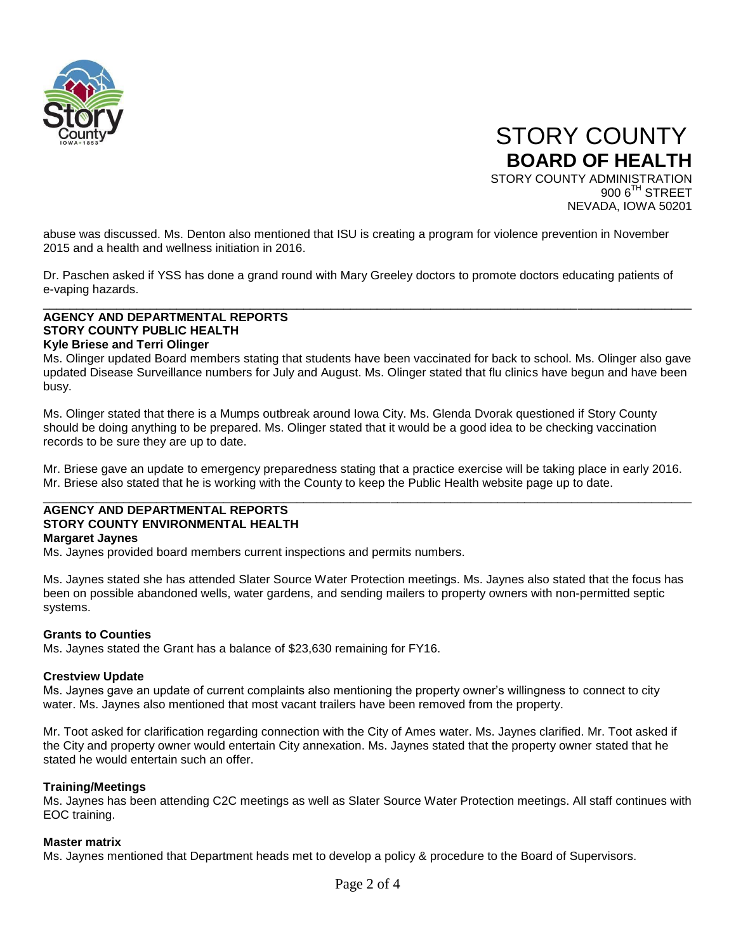

 STORY COUNTY **BOARD OF HEALTH** STORY COUNTY ADMINISTRATION 900 6<sup>TH</sup> STREET NEVADA, IOWA 50201

abuse was discussed. Ms. Denton also mentioned that ISU is creating a program for violence prevention in November 2015 and a health and wellness initiation in 2016.

Dr. Paschen asked if YSS has done a grand round with Mary Greeley doctors to promote doctors educating patients of e-vaping hazards.

\_\_\_\_\_\_\_\_\_\_\_\_\_\_\_\_\_\_\_\_\_\_\_\_\_\_\_\_\_\_\_\_\_\_\_\_\_\_\_\_\_\_\_\_\_\_\_\_\_\_\_\_\_\_\_\_\_\_\_\_\_\_\_\_\_\_\_\_\_\_\_\_\_\_\_\_\_\_\_\_\_\_\_\_\_\_\_\_\_\_\_\_\_\_\_\_\_

### **AGENCY AND DEPARTMENTAL REPORTS STORY COUNTY PUBLIC HEALTH Kyle Briese and Terri Olinger**

Ms. Olinger updated Board members stating that students have been vaccinated for back to school. Ms. Olinger also gave updated Disease Surveillance numbers for July and August. Ms. Olinger stated that flu clinics have begun and have been busy.

Ms. Olinger stated that there is a Mumps outbreak around Iowa City. Ms. Glenda Dvorak questioned if Story County should be doing anything to be prepared. Ms. Olinger stated that it would be a good idea to be checking vaccination records to be sure they are up to date.

Mr. Briese gave an update to emergency preparedness stating that a practice exercise will be taking place in early 2016. Mr. Briese also stated that he is working with the County to keep the Public Health website page up to date.  $\Box$ 

#### **AGENCY AND DEPARTMENTAL REPORTS STORY COUNTY ENVIRONMENTAL HEALTH**

### **Margaret Jaynes**

Ms. Jaynes provided board members current inspections and permits numbers.

Ms. Jaynes stated she has attended Slater Source Water Protection meetings. Ms. Jaynes also stated that the focus has been on possible abandoned wells, water gardens, and sending mailers to property owners with non-permitted septic systems.

### **Grants to Counties**

Ms. Jaynes stated the Grant has a balance of \$23,630 remaining for FY16.

### **Crestview Update**

Ms. Jaynes gave an update of current complaints also mentioning the property owner's willingness to connect to city water. Ms. Jaynes also mentioned that most vacant trailers have been removed from the property.

Mr. Toot asked for clarification regarding connection with the City of Ames water. Ms. Jaynes clarified. Mr. Toot asked if the City and property owner would entertain City annexation. Ms. Jaynes stated that the property owner stated that he stated he would entertain such an offer.

### **Training/Meetings**

Ms. Jaynes has been attending C2C meetings as well as Slater Source Water Protection meetings. All staff continues with EOC training.

### **Master matrix**

Ms. Jaynes mentioned that Department heads met to develop a policy & procedure to the Board of Supervisors.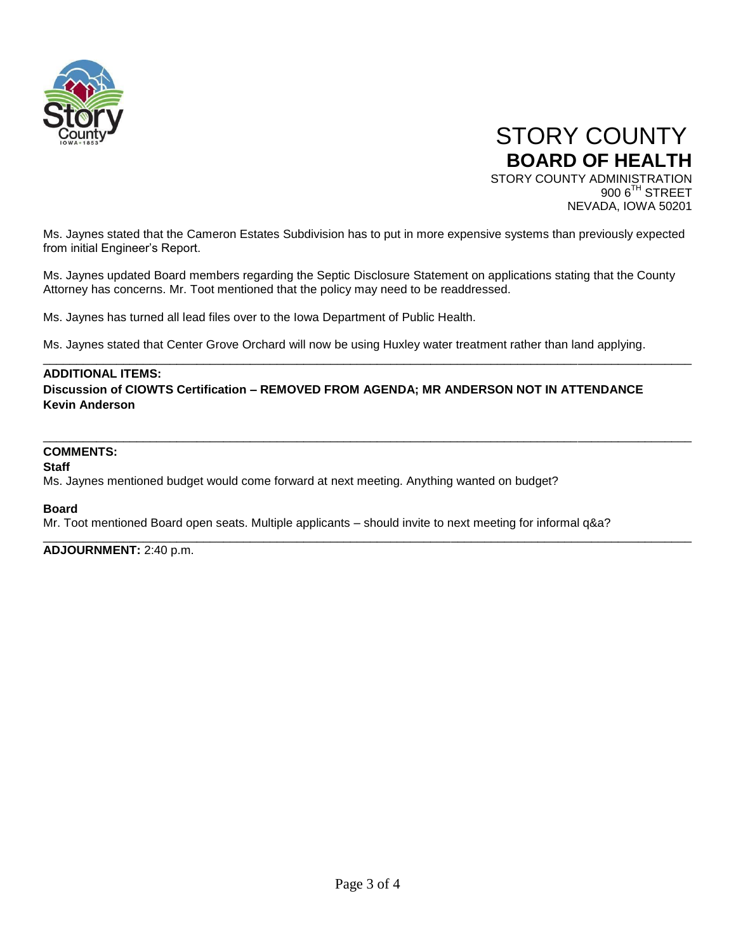



Ms. Jaynes stated that the Cameron Estates Subdivision has to put in more expensive systems than previously expected from initial Engineer's Report.

Ms. Jaynes updated Board members regarding the Septic Disclosure Statement on applications stating that the County Attorney has concerns. Mr. Toot mentioned that the policy may need to be readdressed.

\_\_\_\_\_\_\_\_\_\_\_\_\_\_\_\_\_\_\_\_\_\_\_\_\_\_\_\_\_\_\_\_\_\_\_\_\_\_\_\_\_\_\_\_\_\_\_\_\_\_\_\_\_\_\_\_\_\_\_\_\_\_\_\_\_\_\_\_\_\_\_\_\_\_\_\_\_\_\_\_\_\_\_\_\_\_\_\_\_\_\_\_\_\_\_\_\_

 $\Box$ 

\_\_\_\_\_\_\_\_\_\_\_\_\_\_\_\_\_\_\_\_\_\_\_\_\_\_\_\_\_\_\_\_\_\_\_\_\_\_\_\_\_\_\_\_\_\_\_\_\_\_\_\_\_\_\_\_\_\_\_\_\_\_\_\_\_\_\_\_\_\_\_\_\_\_\_\_\_\_\_\_\_\_\_\_\_\_\_\_\_\_\_\_\_\_\_\_\_

Ms. Jaynes has turned all lead files over to the Iowa Department of Public Health.

Ms. Jaynes stated that Center Grove Orchard will now be using Huxley water treatment rather than land applying.

### **ADDITIONAL ITEMS:**

**Discussion of CIOWTS Certification – REMOVED FROM AGENDA; MR ANDERSON NOT IN ATTENDANCE Kevin Anderson**

# **COMMENTS:**

#### **Staff**

Ms. Jaynes mentioned budget would come forward at next meeting. Anything wanted on budget?

#### **Board**

Mr. Toot mentioned Board open seats. Multiple applicants – should invite to next meeting for informal q&a?

**ADJOURNMENT:** 2:40 p.m.